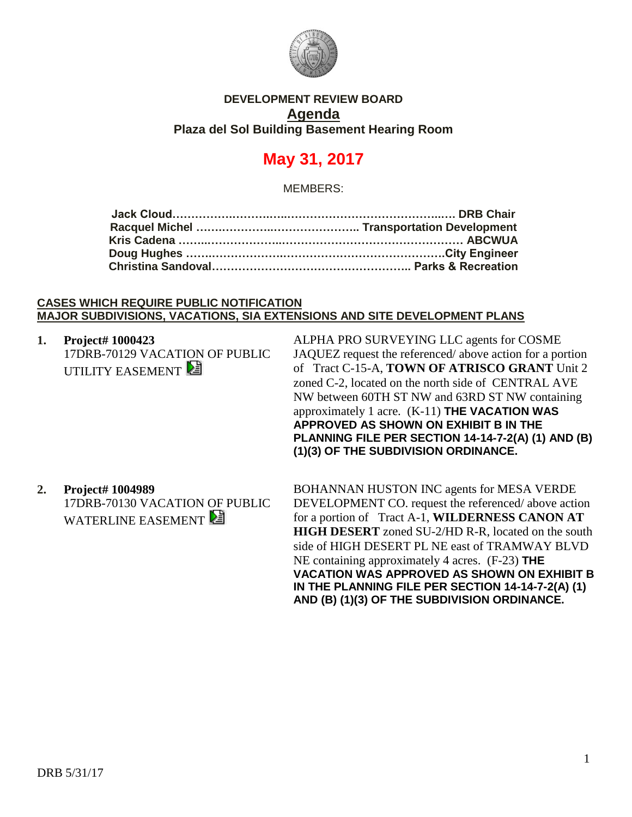

## **DEVELOPMENT REVIEW BOARD Agenda Plaza del Sol Building Basement Hearing Room**

# **May 31, 2017**

MEMBERS:

#### **CASES WHICH REQUIRE PUBLIC NOTIFICATION MAJOR SUBDIVISIONS, VACATIONS, SIA EXTENSIONS AND SITE DEVELOPMENT PLANS**

**1. Project# 1000423** 17DRB-70129 VACATION OF PUBLIC UTILITY EASEMENT

ALPHA PRO SURVEYING LLC agents for COSME JAQUEZ request the referenced/ above action for a portion of Tract C-15-A, **TOWN OF ATRISCO GRANT** Unit 2 zoned C-2, located on the north side of CENTRAL AVE NW between 60TH ST NW and 63RD ST NW containing approximately 1 acre. (K-11) **THE VACATION WAS APPROVED AS SHOWN ON EXHIBIT B IN THE PLANNING FILE PER SECTION 14-14-7-2(A) (1) AND (B) (1)(3) OF THE SUBDIVISION ORDINANCE.**

## **2. Project# 1004989**

17DRB-70130 VACATION OF PUBLIC WATERLINE EASEMENT

BOHANNAN HUSTON INC agents for MESA VERDE DEVELOPMENT CO. request the referenced/ above action for a portion of Tract A-1, **WILDERNESS CANON AT HIGH DESERT** zoned SU-2/HD R-R, located on the south side of HIGH DESERT PL NE east of TRAMWAY BLVD NE containing approximately 4 acres. (F-23) **THE VACATION WAS APPROVED AS SHOWN ON EXHIBIT B IN THE PLANNING FILE PER SECTION 14-14-7-2(A) (1) AND (B) (1)(3) OF THE SUBDIVISION ORDINANCE.**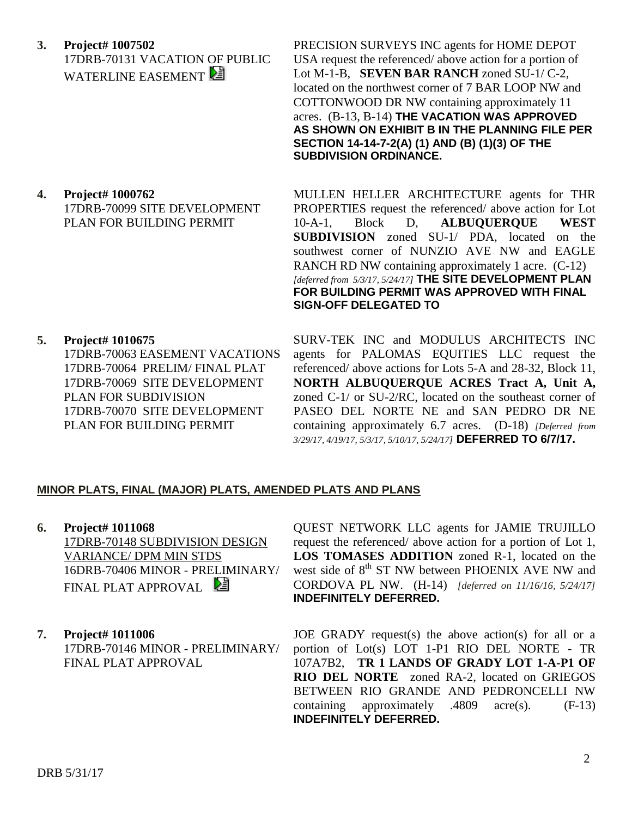**3. Project# 1007502** 17DRB-70131 VACATION OF PUBLIC WATERLINE EASEMENT

PRECISION SURVEYS INC agents for HOME DEPOT USA request the referenced/ above action for a portion of Lot M-1-B, **SEVEN BAR RANCH** zoned SU-1/ C-2, located on the northwest corner of 7 BAR LOOP NW and COTTONWOOD DR NW containing approximately 11 acres. (B-13, B-14) **THE VACATION WAS APPROVED AS SHOWN ON EXHIBIT B IN THE PLANNING FILE PER SECTION 14-14-7-2(A) (1) AND (B) (1)(3) OF THE SUBDIVISION ORDINANCE.**

**4. Project# 1000762** 17DRB-70099 SITE DEVELOPMENT PLAN FOR BUILDING PERMIT

MULLEN HELLER ARCHITECTURE agents for THR PROPERTIES request the referenced/ above action for Lot 10-A-1, Block D, **ALBUQUERQUE WEST SUBDIVISION** zoned SU-1/ PDA, located on the southwest corner of NUNZIO AVE NW and EAGLE RANCH RD NW containing approximately 1 acre. (C-12) *[deferred from 5/3/17, 5/24/17]* **THE SITE DEVELOPMENT PLAN FOR BUILDING PERMIT WAS APPROVED WITH FINAL SIGN-OFF DELEGATED TO** 

**5. Project# 1010675** 17DRB-70063 EASEMENT VACATIONS 17DRB-70064 PRELIM/ FINAL PLAT 17DRB-70069 SITE DEVELOPMENT PLAN FOR SUBDIVISION 17DRB-70070 SITE DEVELOPMENT PLAN FOR BUILDING PERMIT

SURV-TEK INC and MODULUS ARCHITECTS INC agents for PALOMAS EQUITIES LLC request the referenced/ above actions for Lots 5-A and 28-32, Block 11, **NORTH ALBUQUERQUE ACRES Tract A, Unit A,** zoned C-1/ or SU-2/RC, located on the southeast corner of PASEO DEL NORTE NE and SAN PEDRO DR NE containing approximately 6.7 acres. (D-18) *[Deferred from 3/29/17, 4/19/17, 5/3/17, 5/10/17, 5/24/17]* **DEFERRED TO 6/7/17.**

## **MINOR PLATS, FINAL (MAJOR) PLATS, AMENDED PLATS AND PLANS**

- **6. Project# 1011068** 17DRB-70148 SUBDIVISION DESIGN VARIANCE/ DPM MIN STDS 16DRB-70406 MINOR - PRELIMINARY/ FINAL PLAT APPROVAL
- **7. Project# 1011006** 17DRB-70146 MINOR - PRELIMINARY/ FINAL PLAT APPROVAL

QUEST NETWORK LLC agents for JAMIE TRUJILLO request the referenced/ above action for a portion of Lot 1, **LOS TOMASES ADDITION** zoned R-1, located on the west side of 8<sup>th</sup> ST NW between PHOENIX AVE NW and CORDOVA PL NW. (H-14)*[deferred on 11/16/16, 5/24/17]* **INDEFINITELY DEFERRED.**

JOE GRADY request(s) the above action(s) for all or a portion of Lot(s) LOT 1-P1 RIO DEL NORTE - TR 107A7B2, **TR 1 LANDS OF GRADY LOT 1-A-P1 OF RIO DEL NORTE** zoned RA-2, located on GRIEGOS BETWEEN RIO GRANDE AND PEDRONCELLI NW containing approximately .4809 acre(s). (F-13) **INDEFINITELY DEFERRED.**